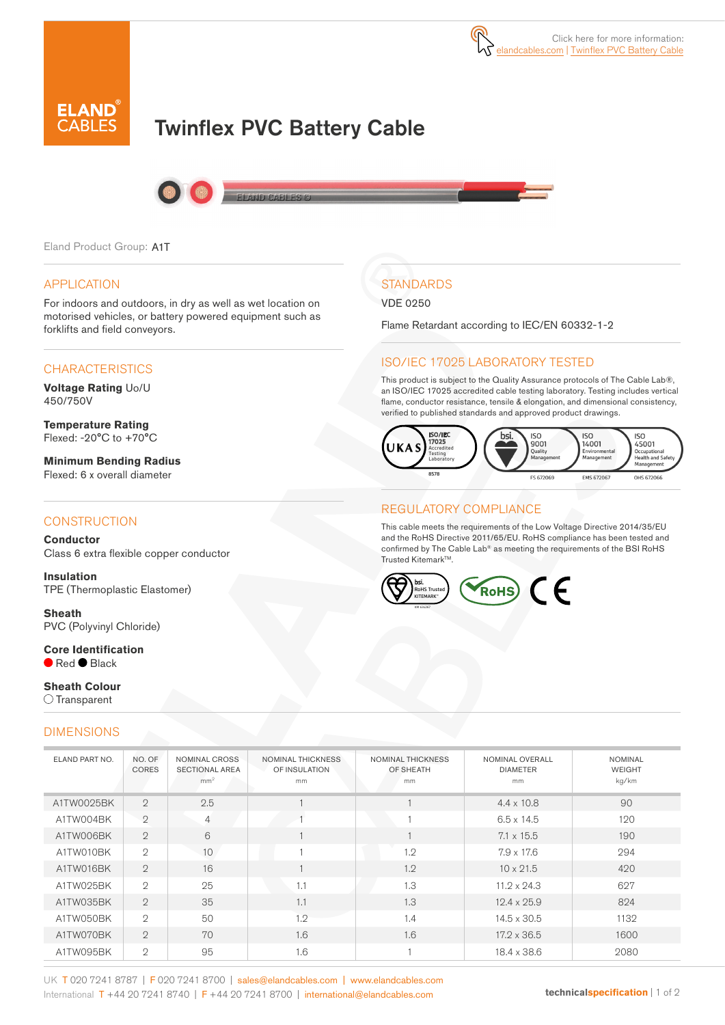

# Twinflex PVC Battery Cable



Eland Product Group: A1T

#### APPLICATION

For indoors and outdoors, in dry as well as wet location on motorised vehicles, or battery powered equipment such as forklifts and field conveyors.

#### **CHARACTERISTICS**

**Voltage Rating** Uo/U 450/750V

**Temperature Rating** Flexed: -20°C to +70°C

**Minimum Bending Radius**  Flexed: 6 x overall diameter

#### **CONSTRUCTION**

**Conductor** Class 6 extra flexible copper conductor

**Insulation** TPE (Thermoplastic Elastomer)

**Sheath** PVC (Polyvinyl Chloride)

**Core Identification** Red Black

#### **Sheath Colour**  $\bigcirc$  Transparent

#### DIMENSIONS

| <b>STANDARDS</b> |  |
|------------------|--|

VDE 0250

Flame Retardant according to IEC/EN 60332-1-2

#### ISO/IEC 17025 LABORATORY TESTED

This product is subject to the Quality Assurance protocols of The Cable Lab®, an ISO/IEC 17025 accredited cable testing laboratory. Testing includes vertical flame, conductor resistance, tensile & elongation, and dimensional consistency, verified to published standards and approved product drawings.



#### REGULATORY COMPLIANCE

This cable meets the requirements of the Low Voltage Directive 2014/35/EU and the RoHS Directive 2011/65/EU. RoHS compliance has been tested and confirmed by The Cable Lab® as meeting the requirements of the BSI RoHS Trusted KitemarkTM.



| ELAND PART NO. | NO. OF<br><b>CORES</b> | NOMINAL CROSS<br><b>SECTIONAL AREA</b><br>mm <sup>2</sup> | <b>NOMINAL THICKNESS</b><br>OF INSULATION<br>mm | <b>NOMINAL THICKNESS</b><br>OF SHEATH<br>mm | NOMINAL OVERALL<br><b>DIAMETER</b><br>mm | <b>NOMINAL</b><br><b>WEIGHT</b><br>kg/km |
|----------------|------------------------|-----------------------------------------------------------|-------------------------------------------------|---------------------------------------------|------------------------------------------|------------------------------------------|
| A1TW0025BK     | $\overline{2}$         | 2.5                                                       |                                                 |                                             | $4.4 \times 10.8$                        | 90                                       |
| A1TW004BK      | $\overline{2}$         | $\overline{4}$                                            |                                                 |                                             | $6.5 \times 14.5$                        | 120                                      |
| A1TW006BK      | $\overline{2}$         | 6                                                         |                                                 |                                             | $7.1 \times 15.5$                        | 190                                      |
| A1TW010BK      | $\mathfrak{D}$         | 10                                                        |                                                 | 1.2                                         | $7.9 \times 17.6$                        | 294                                      |
| A1TW016BK      | $\overline{2}$         | 16                                                        |                                                 | 1.2                                         | $10 \times 21.5$                         | 420                                      |
| A1TW025BK      | $\mathfrak{D}$         | 25                                                        | 1.1                                             | 1.3                                         | $11.2 \times 24.3$                       | 627                                      |
| A1TW035BK      | $\overline{2}$         | 35                                                        | 1.1                                             | 1.3                                         | $12.4 \times 25.9$                       | 824                                      |
| A1TW050BK      | $\mathfrak{D}$         | 50                                                        | 1.2                                             | 1.4                                         | $14.5 \times 30.5$                       | 1132                                     |
| A1TW070BK      | $\overline{2}$         | 70                                                        | 1.6                                             | 1.6                                         | $17.2 \times 36.5$                       | 1600                                     |
| A1TW095BK      | $\mathbf{2}$           | 95                                                        | 1.6                                             |                                             | 18.4 x 38.6                              | 2080                                     |